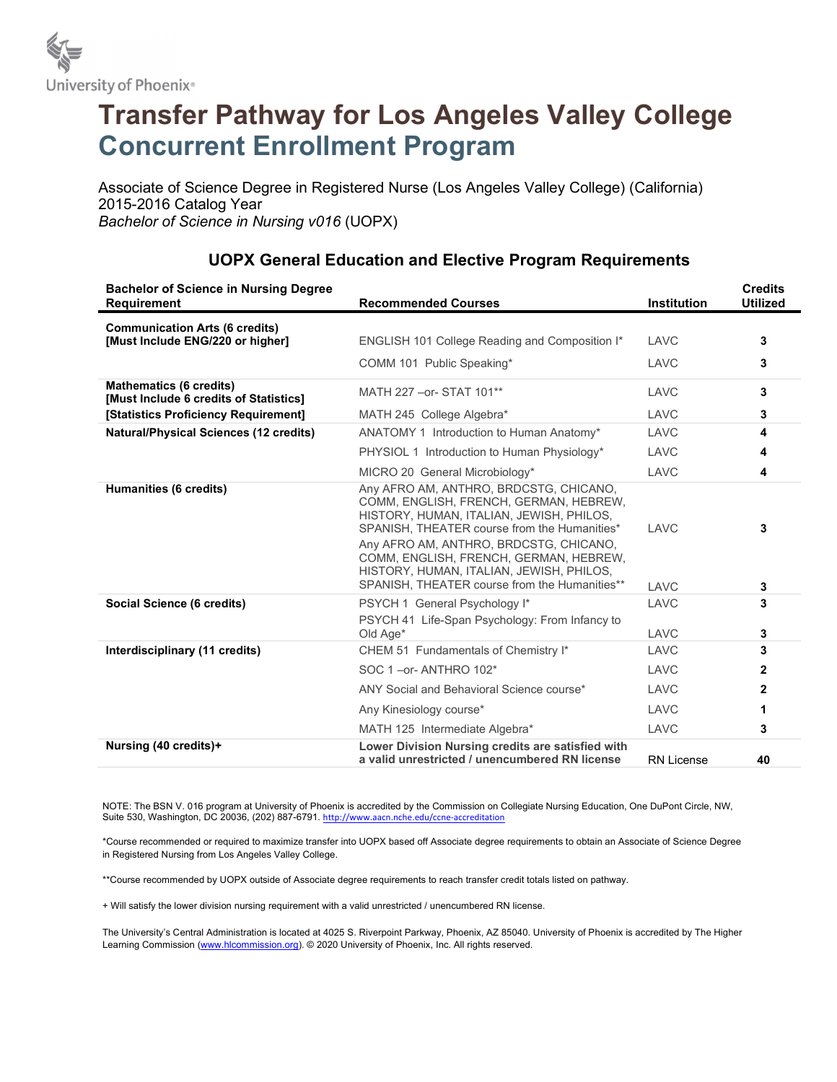

## Transfer Pathway for Los Angeles Valley College Concurrent Enrollment Program

Associate of Science Degree in Registered Nurse (Los Angeles Valley College) (California) 2015-2016 Catalog Year Bachelor of Science in Nursing v016 (UOPX)

| <b>Bachelor of Science in Nursing Degree</b><br><b>Requirement</b>        | <b>Recommended Courses</b>                                                                                                                                                                                                                                                                                                                                    | <b>Institution</b> | <b>Credits</b><br><b>Utilized</b> |
|---------------------------------------------------------------------------|---------------------------------------------------------------------------------------------------------------------------------------------------------------------------------------------------------------------------------------------------------------------------------------------------------------------------------------------------------------|--------------------|-----------------------------------|
| <b>Communication Arts (6 credits)</b><br>[Must Include ENG/220 or higher] | ENGLISH 101 College Reading and Composition I*                                                                                                                                                                                                                                                                                                                | LAVC               | 3                                 |
|                                                                           | COMM 101 Public Speaking*                                                                                                                                                                                                                                                                                                                                     | LAVC               | 3                                 |
| <b>Mathematics (6 credits)</b><br>[Must Include 6 credits of Statistics]  | MATH 227 - or-STAT 101**                                                                                                                                                                                                                                                                                                                                      | LAVC               | 3                                 |
| [Statistics Proficiency Requirement]                                      | MATH 245 College Algebra*                                                                                                                                                                                                                                                                                                                                     | LAVC               | 3                                 |
| <b>Natural/Physical Sciences (12 credits)</b>                             | ANATOMY 1 Introduction to Human Anatomy*                                                                                                                                                                                                                                                                                                                      | LAVC               | 4                                 |
|                                                                           | PHYSIOL 1 Introduction to Human Physiology*                                                                                                                                                                                                                                                                                                                   | LAVC               | 4                                 |
|                                                                           | MICRO 20 General Microbiology*                                                                                                                                                                                                                                                                                                                                | LAVC               | 4                                 |
| Humanities (6 credits)                                                    | Any AFRO AM, ANTHRO, BRDCSTG, CHICANO,<br>COMM, ENGLISH, FRENCH, GERMAN, HEBREW,<br>HISTORY, HUMAN, ITALIAN, JEWISH, PHILOS,<br>SPANISH. THEATER course from the Humanities*<br>Any AFRO AM, ANTHRO, BRDCSTG, CHICANO,<br>COMM, ENGLISH, FRENCH, GERMAN, HEBREW,<br>HISTORY, HUMAN, ITALIAN, JEWISH, PHILOS,<br>SPANISH. THEATER course from the Humanities** | LAVC<br>LAVC       | 3<br>3                            |
| Social Science (6 credits)                                                | PSYCH 1 General Psychology I*                                                                                                                                                                                                                                                                                                                                 | LAVC               | 3                                 |
|                                                                           | PSYCH 41 Life-Span Psychology: From Infancy to<br>Old Age*                                                                                                                                                                                                                                                                                                    | LAVC               | 3                                 |
| Interdisciplinary (11 credits)                                            | CHEM 51 Fundamentals of Chemistry I*                                                                                                                                                                                                                                                                                                                          | LAVC               | 3                                 |
|                                                                           | SOC 1-or-ANTHRO 102*                                                                                                                                                                                                                                                                                                                                          | LAVC               | 2                                 |
|                                                                           | ANY Social and Behavioral Science course*                                                                                                                                                                                                                                                                                                                     | LAVC               | 2                                 |
|                                                                           | Any Kinesiology course*                                                                                                                                                                                                                                                                                                                                       | LAVC               | 1                                 |
|                                                                           | MATH 125 Intermediate Algebra*                                                                                                                                                                                                                                                                                                                                | LAVC               | 3                                 |
| Nursing (40 credits)+                                                     | Lower Division Nursing credits are satisfied with<br>a valid unrestricted / unencumbered RN license                                                                                                                                                                                                                                                           | <b>RN License</b>  | 40                                |

## UOPX General Education and Elective Program Requirements

NOTE: The BSN V. 016 program at University of Phoenix is accredited by the Commission on Collegiate Nursing Education, One DuPont Circle, NW, Suite 530, Washington, DC 20036, (202) 887-6791. http://www.aacn.nche.edu/ccne-accreditation

\*Course recommended or required to maximize transfer into UOPX based off Associate degree requirements to obtain an Associate of Science Degree in Registered Nursing from Los Angeles Valley College.

\*\*Course recommended by UOPX outside of Associate degree requirements to reach transfer credit totals listed on pathway.

+ Will satisfy the lower division nursing requirement with a valid unrestricted / unencumbered RN license.

The University's Central Administration is located at 4025 S. Riverpoint Parkway, Phoenix, AZ 85040. University of Phoenix is accredited by The Higher Learning Commission (www.hlcommission.org). © 2020 University of Phoenix, Inc. All rights reserved.